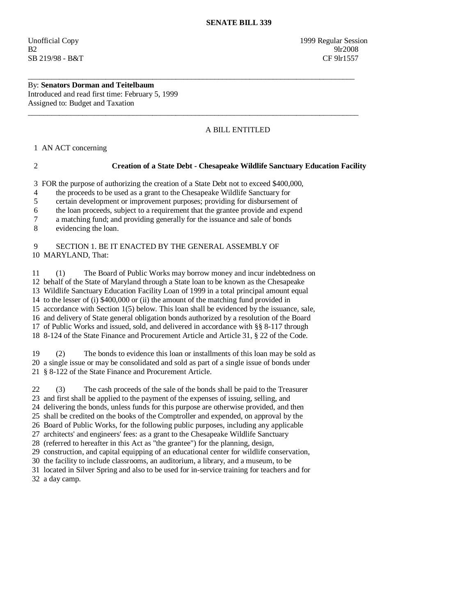Unofficial Copy 1999 Regular Session B2 9lr2008 SB 219/98 - B&T CF 9lr1557

By: **Senators Dorman and Teitelbaum**  Introduced and read first time: February 5, 1999 Assigned to: Budget and Taxation

## A BILL ENTITLED

1 AN ACT concerning

## 2 **Creation of a State Debt - Chesapeake Wildlife Sanctuary Education Facility**

3 FOR the purpose of authorizing the creation of a State Debt not to exceed \$400,000,

\_\_\_\_\_\_\_\_\_\_\_\_\_\_\_\_\_\_\_\_\_\_\_\_\_\_\_\_\_\_\_\_\_\_\_\_\_\_\_\_\_\_\_\_\_\_\_\_\_\_\_\_\_\_\_\_\_\_\_\_\_\_\_\_\_\_\_\_\_\_\_\_\_\_\_\_\_\_\_\_\_\_\_\_

 $\overline{\phantom{a}}$  ,  $\overline{\phantom{a}}$  ,  $\overline{\phantom{a}}$  ,  $\overline{\phantom{a}}$  ,  $\overline{\phantom{a}}$  ,  $\overline{\phantom{a}}$  ,  $\overline{\phantom{a}}$  ,  $\overline{\phantom{a}}$  ,  $\overline{\phantom{a}}$  ,  $\overline{\phantom{a}}$  ,  $\overline{\phantom{a}}$  ,  $\overline{\phantom{a}}$  ,  $\overline{\phantom{a}}$  ,  $\overline{\phantom{a}}$  ,  $\overline{\phantom{a}}$  ,  $\overline{\phantom{a}}$ 

4 the proceeds to be used as a grant to the Chesapeake Wildlife Sanctuary for

5 certain development or improvement purposes; providing for disbursement of

6 the loan proceeds, subject to a requirement that the grantee provide and expend

7 a matching fund; and providing generally for the issuance and sale of bonds

8 evidencing the loan.

## 9 SECTION 1. BE IT ENACTED BY THE GENERAL ASSEMBLY OF 10 MARYLAND, That:

 11 (1) The Board of Public Works may borrow money and incur indebtedness on 12 behalf of the State of Maryland through a State loan to be known as the Chesapeake 13 Wildlife Sanctuary Education Facility Loan of 1999 in a total principal amount equal 14 to the lesser of (i) \$400,000 or (ii) the amount of the matching fund provided in 15 accordance with Section 1(5) below. This loan shall be evidenced by the issuance, sale, 16 and delivery of State general obligation bonds authorized by a resolution of the Board 17 of Public Works and issued, sold, and delivered in accordance with §§ 8-117 through 18 8-124 of the State Finance and Procurement Article and Article 31, § 22 of the Code.

 19 (2) The bonds to evidence this loan or installments of this loan may be sold as 20 a single issue or may be consolidated and sold as part of a single issue of bonds under 21 § 8-122 of the State Finance and Procurement Article.

 22 (3) The cash proceeds of the sale of the bonds shall be paid to the Treasurer 23 and first shall be applied to the payment of the expenses of issuing, selling, and

24 delivering the bonds, unless funds for this purpose are otherwise provided, and then

25 shall be credited on the books of the Comptroller and expended, on approval by the

26 Board of Public Works, for the following public purposes, including any applicable

27 architects' and engineers' fees: as a grant to the Chesapeake Wildlife Sanctuary

28 (referred to hereafter in this Act as "the grantee") for the planning, design,

29 construction, and capital equipping of an educational center for wildlife conservation,

30 the facility to include classrooms, an auditorium, a library, and a museum, to be

 31 located in Silver Spring and also to be used for in-service training for teachers and for 32 a day camp.